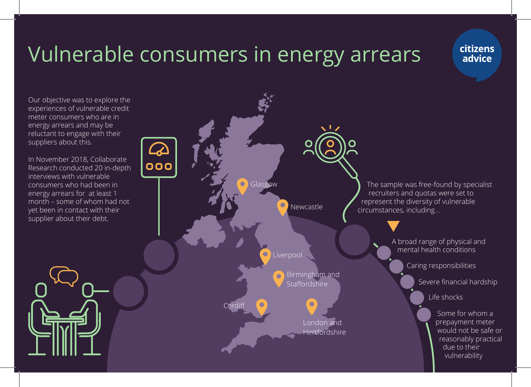# Vulnerable consumers in energy arrears

citizens advice

Our objective was to explore the experiences of vulnerable credit meter consumers who are in energy arrears and may be reluctant to engage with their suppliers about this.

In November 2018, Collaborate Research conducted 20 in-depth interviews with vulnerable consumers who had been in energy arrears for at least 1 month – some of whom had not yet been in contact with their supplier about their debt.

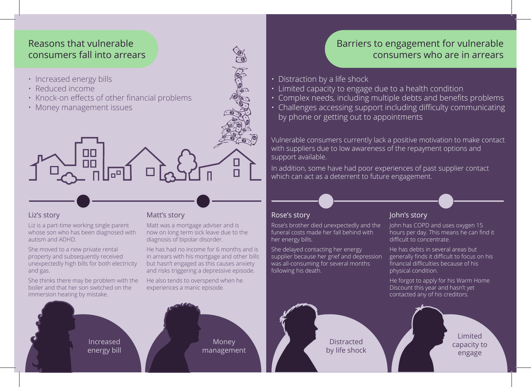## Reasons that vulnerable consumers fall into arrears

- Increased energy bills
- Reduced income
- Knock-on effects of other financial problems

∫ᅃᅵᇜ<br>ᅩ<sup>ℿ</sub>ℿⅎ</sup>

• Money management issues

#### Liz's story

Liz is a part-time working single parent whose son who has been diagnosed with autism and ADHD.

She moved to a new private rental property and subsequently received unexpectedly high bills for both electricity and gas.

She thinks there may be problem with the boiler and that her son switched on the immersion heating by mistake.

Matt's story

Matt was a mortgage adviser and is now on long term sick leave due to the diagnosis of bipolar disorder.

He has had no income for 6 months and is in arrears with his mortgage and other bills but hasn't engaged as this causes anxiety and risks triggering a depressive episode.

> Money management

CIA

He also tends to overspend when he experiences a manic episode.

Increased energy bill

### Barriers to engagement for vulnerable consumers who are in arrears

- Distraction by a life shock
- Limited capacity to engage due to a health condition
- Complex needs, including multiple debts and benefits problems
- Challenges accessing support including difficulty communicating by phone or getting out to appointments

Vulnerable consumers currently lack a positive motivation to make contact with suppliers due to low awareness of the repayment options and support available.

In addition, some have had poor experiences of past supplier contact which can act as a deterrent to future engagement.

#### Rose's story

Rose's brother died unexpectedly and the funeral costs made her fall behind with her energy bills.

She delayed contacting her energy supplier because her grief and depression was all-consuming for several months following his death.

#### John's story

John has COPD and uses oxygen 15 hours per day. This means he can find it difficult to concentrate.

He has debts in several areas but generally finds it difficult to focus on his financial difficulties because of his physical condition.

He forgot to apply for his Warm Home Discount this year and hasn't yet contacted any of his creditors.

**Distracted** by life shock

Limited capacity to engage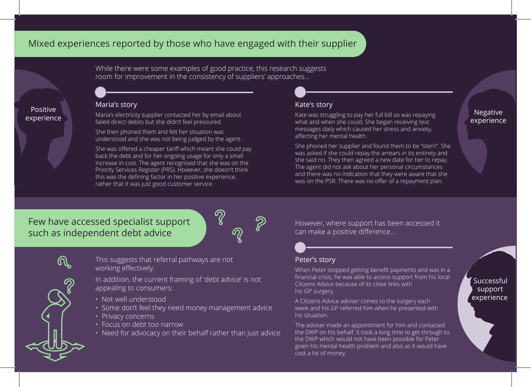## Mixed experiences reported by those who have engaged with their supplier

While there were some examples of good practice, this research suggests room for improvement in the consistency of suppliers' approaches...

#### Maria's story

failed direct debits but she didn't feel pressured.

She then phoned them and felt her situation was understood and she was not being judged by the agent.

She was offered a cheaper tariff which meant she could pay back the debt and for her ongoing usage for only a small increase in cost. The agent recognised that she was on the Priority Services Register (PRS). However, she doesn't think this was the defining factor in her positive experience, rather that it was just good customer service.

#### Kate's story

POSITIVE<br>Maria's electricity supplier contacted her by email about Maria's electricity supplier contacted her by email<br>And the didn't fool prossured about Maria and what and what foo sharp receiving toxt Kate was struggling to pay her full bill so was repaying what and when she could. She began receiving text messages daily which caused her stress and anxiety, affecting her mental health.

> She phoned her supplier and found them to be "stern". She was asked if she could repay the arrears in its entirety and she said no. They then agreed a new date for her to repay. The agent did not ask about her personal circumstances and there was no indication that they were aware that she was on the PSR. There was no offer of a repayment plan.

# experience

# Few have accessed specialist support such as independent debt advice



Positive

This suggests that referral pathways are not working effectively.

In addition, the current framing of 'debt advice' is not appealing to consumers:

- Not well understood
- Some don't feel they need money management advice
- Privacy concerns
- Focus on debt too narrow
- Need for advocacy on their behalf rather than just advice

However, where support has been accessed it can make a positive difference...

#### Peter's story

When Peter stopped getting benefit payments and was in a financial crisis, he was able to access support from his local Citizens Advice because of its close links with his GP surgery.

A Citizens Advice adviser comes to the surgery each week and his GP referred him when he presented with his situation.

The adviser made an appointment for him and contacted the DWP on his behalf. It took a long time to get through to the DWP which would not have been possible for Peter given his mental health problem and also as it would have cost a lot of money.

Successful support experience